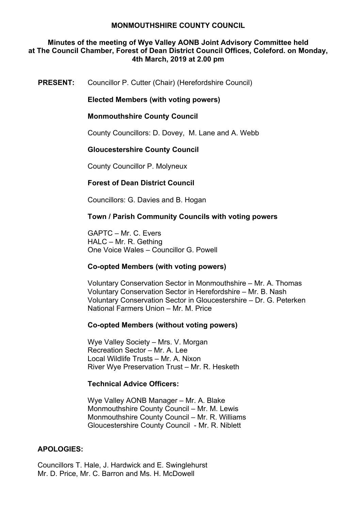## **Minutes of the meeting of Wye Valley AONB Joint Advisory Committee held at The Council Chamber, Forest of Dean District Council Offices, Coleford. on Monday, 4th March, 2019 at 2.00 pm**

**PRESENT:** Councillor P. Cutter (Chair) (Herefordshire Council)

**Elected Members (with voting powers)**

**Monmouthshire County Council**

County Councillors: D. Dovey, M. Lane and A. Webb

#### **Gloucestershire County Council**

County Councillor P. Molyneux

## **Forest of Dean District Council**

Councillors: G. Davies and B. Hogan

## **Town / Parish Community Councils with voting powers**

GAPTC – Mr. C. Evers HALC – Mr. R. Gething One Voice Wales – Councillor G. Powell

## **Co-opted Members (with voting powers)**

Voluntary Conservation Sector in Monmouthshire – Mr. A. Thomas Voluntary Conservation Sector in Herefordshire – Mr. B. Nash Voluntary Conservation Sector in Gloucestershire – Dr. G. Peterken National Farmers Union – Mr. M. Price

#### **Co-opted Members (without voting powers)**

Wye Valley Society – Mrs. V. Morgan Recreation Sector – Mr. A. Lee Local Wildlife Trusts – Mr. A. Nixon River Wye Preservation Trust – Mr. R. Hesketh

#### **Technical Advice Officers:**

Wye Valley AONB Manager – Mr. A. Blake Monmouthshire County Council – Mr. M. Lewis Monmouthshire County Council – Mr. R. Williams Gloucestershire County Council - Mr. R. Niblett

## **APOLOGIES:**

Councillors T. Hale, J. Hardwick and E. Swinglehurst Mr. D. Price, Mr. C. Barron and Ms. H. McDowell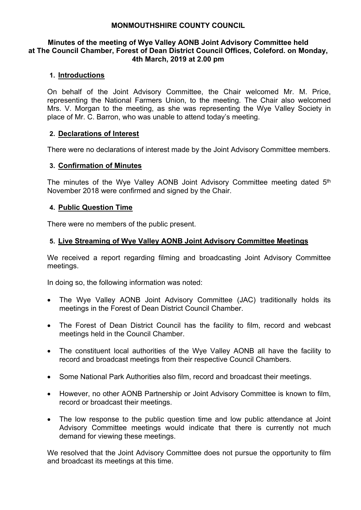#### **Minutes of the meeting of Wye Valley AONB Joint Advisory Committee held at The Council Chamber, Forest of Dean District Council Offices, Coleford. on Monday, 4th March, 2019 at 2.00 pm**

## **1. Introductions**

On behalf of the Joint Advisory Committee, the Chair welcomed Mr. M. Price, representing the National Farmers Union, to the meeting. The Chair also welcomed Mrs. V. Morgan to the meeting, as she was representing the Wye Valley Society in place of Mr. C. Barron, who was unable to attend today's meeting.

## **2. Declarations of Interest**

There were no declarations of interest made by the Joint Advisory Committee members.

#### **3. Confirmation of Minutes**

The minutes of the Wye Valley AONB Joint Advisory Committee meeting dated 5<sup>th</sup> November 2018 were confirmed and signed by the Chair.

## **4. Public Question Time**

There were no members of the public present.

## **5. Live Streaming of Wye Valley AONB Joint Advisory Committee Meetings**

We received a report regarding filming and broadcasting Joint Advisory Committee meetings.

In doing so, the following information was noted:

- The Wye Valley AONB Joint Advisory Committee (JAC) traditionally holds its meetings in the Forest of Dean District Council Chamber.
- The Forest of Dean District Council has the facility to film, record and webcast meetings held in the Council Chamber.
- The constituent local authorities of the Wye Valley AONB all have the facility to record and broadcast meetings from their respective Council Chambers.
- Some National Park Authorities also film, record and broadcast their meetings.
- However, no other AONB Partnership or Joint Advisory Committee is known to film, record or broadcast their meetings.
- The low response to the public question time and low public attendance at Joint Advisory Committee meetings would indicate that there is currently not much demand for viewing these meetings.

We resolved that the Joint Advisory Committee does not pursue the opportunity to film and broadcast its meetings at this time.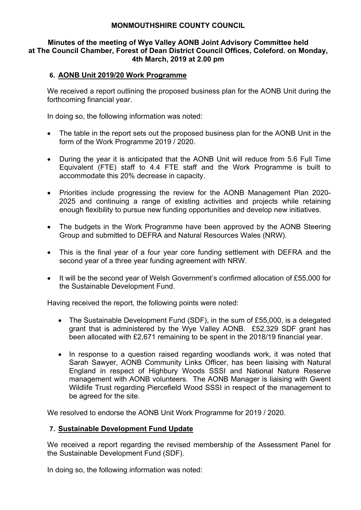## **Minutes of the meeting of Wye Valley AONB Joint Advisory Committee held at The Council Chamber, Forest of Dean District Council Offices, Coleford. on Monday, 4th March, 2019 at 2.00 pm**

## **6. AONB Unit 2019/20 Work Programme**

We received a report outlining the proposed business plan for the AONB Unit during the forthcoming financial year.

In doing so, the following information was noted:

- The table in the report sets out the proposed business plan for the AONB Unit in the form of the Work Programme 2019 / 2020.
- During the year it is anticipated that the AONB Unit will reduce from 5.6 Full Time Equivalent (FTE) staff to 4.4 FTE staff and the Work Programme is built to accommodate this 20% decrease in capacity.
- Priorities include progressing the review for the AONB Management Plan 2020- 2025 and continuing a range of existing activities and projects while retaining enough flexibility to pursue new funding opportunities and develop new initiatives.
- The budgets in the Work Programme have been approved by the AONB Steering Group and submitted to DEFRA and Natural Resources Wales (NRW).
- This is the final year of a four year core funding settlement with DEFRA and the second year of a three year funding agreement with NRW.
- It will be the second year of Welsh Government's confirmed allocation of £55,000 for the Sustainable Development Fund.

Having received the report, the following points were noted:

- The Sustainable Development Fund (SDF), in the sum of £55,000, is a delegated grant that is administered by the Wye Valley AONB. £52,329 SDF grant has been allocated with £2,671 remaining to be spent in the 2018/19 financial year.
- In response to a question raised regarding woodlands work, it was noted that Sarah Sawyer, AONB Community Links Officer, has been liaising with Natural England in respect of Highbury Woods SSSI and National Nature Reserve management with AONB volunteers. The AONB Manager is liaising with Gwent Wildlife Trust regarding Piercefield Wood SSSI in respect of the management to be agreed for the site.

We resolved to endorse the AONB Unit Work Programme for 2019 / 2020.

## **7. Sustainable Development Fund Update**

We received a report regarding the revised membership of the Assessment Panel for the Sustainable Development Fund (SDF).

In doing so, the following information was noted: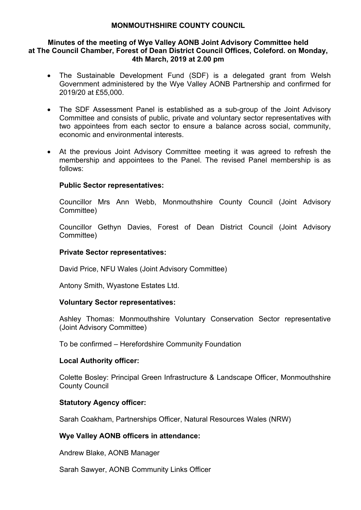#### **Minutes of the meeting of Wye Valley AONB Joint Advisory Committee held at The Council Chamber, Forest of Dean District Council Offices, Coleford. on Monday, 4th March, 2019 at 2.00 pm**

- The Sustainable Development Fund (SDF) is a delegated grant from Welsh Government administered by the Wye Valley AONB Partnership and confirmed for 2019/20 at £55,000.
- The SDF Assessment Panel is established as a sub-group of the Joint Advisory Committee and consists of public, private and voluntary sector representatives with two appointees from each sector to ensure a balance across social, community, economic and environmental interests.
- At the previous Joint Advisory Committee meeting it was agreed to refresh the membership and appointees to the Panel. The revised Panel membership is as follows:

## **Public Sector representatives:**

Councillor Mrs Ann Webb, Monmouthshire County Council (Joint Advisory Committee)

Councillor Gethyn Davies, Forest of Dean District Council (Joint Advisory Committee)

## **Private Sector representatives:**

David Price, NFU Wales (Joint Advisory Committee)

Antony Smith, Wyastone Estates Ltd.

## **Voluntary Sector representatives:**

Ashley Thomas: Monmouthshire Voluntary Conservation Sector representative (Joint Advisory Committee)

To be confirmed – Herefordshire Community Foundation

## **Local Authority officer:**

Colette Bosley: Principal Green Infrastructure & Landscape Officer, Monmouthshire County Council

## **Statutory Agency officer:**

Sarah Coakham, Partnerships Officer, Natural Resources Wales (NRW)

# **Wye Valley AONB officers in attendance:**

Andrew Blake, AONB Manager

Sarah Sawyer, AONB Community Links Officer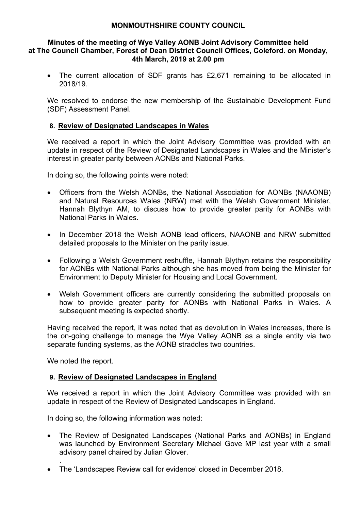#### **Minutes of the meeting of Wye Valley AONB Joint Advisory Committee held at The Council Chamber, Forest of Dean District Council Offices, Coleford. on Monday, 4th March, 2019 at 2.00 pm**

• The current allocation of SDF grants has £2,671 remaining to be allocated in 2018/19.

We resolved to endorse the new membership of the Sustainable Development Fund (SDF) Assessment Panel.

# **8. Review of Designated Landscapes in Wales**

We received a report in which the Joint Advisory Committee was provided with an update in respect of the Review of Designated Landscapes in Wales and the Minister's interest in greater parity between AONBs and National Parks.

In doing so, the following points were noted:

- Officers from the Welsh AONBs, the National Association for AONBs (NAAONB) and Natural Resources Wales (NRW) met with the Welsh Government Minister, Hannah Blythyn AM, to discuss how to provide greater parity for AONBs with National Parks in Wales.
- In December 2018 the Welsh AONB lead officers, NAAONB and NRW submitted detailed proposals to the Minister on the parity issue.
- Following a Welsh Government reshuffle, Hannah Blythyn retains the responsibility for AONBs with National Parks although she has moved from being the Minister for Environment to Deputy Minister for Housing and Local Government.
- Welsh Government officers are currently considering the submitted proposals on how to provide greater parity for AONBs with National Parks in Wales. A subsequent meeting is expected shortly.

Having received the report, it was noted that as devolution in Wales increases, there is the on-going challenge to manage the Wye Valley AONB as a single entity via two separate funding systems, as the AONB straddles two countries.

We noted the report.

.

## **9. Review of Designated Landscapes in England**

We received a report in which the Joint Advisory Committee was provided with an update in respect of the Review of Designated Landscapes in England.

In doing so, the following information was noted:

- The Review of Designated Landscapes (National Parks and AONBs) in England was launched by Environment Secretary Michael Gove MP last year with a small advisory panel chaired by Julian Glover.
- The 'Landscapes Review call for evidence' closed in December 2018.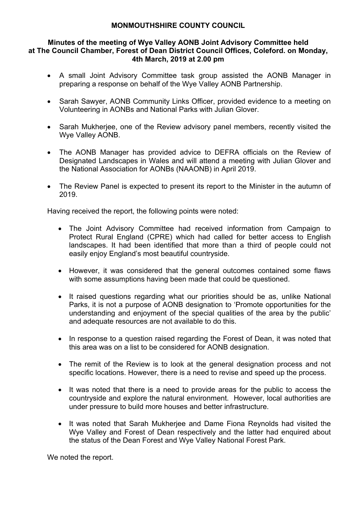#### **Minutes of the meeting of Wye Valley AONB Joint Advisory Committee held at The Council Chamber, Forest of Dean District Council Offices, Coleford. on Monday, 4th March, 2019 at 2.00 pm**

- A small Joint Advisory Committee task group assisted the AONB Manager in preparing a response on behalf of the Wye Valley AONB Partnership.
- Sarah Sawyer, AONB Community Links Officer, provided evidence to a meeting on Volunteering in AONBs and National Parks with Julian Glover.
- Sarah Mukherjee, one of the Review advisory panel members, recently visited the Wye Valley AONB.
- The AONB Manager has provided advice to DEFRA officials on the Review of Designated Landscapes in Wales and will attend a meeting with Julian Glover and the National Association for AONBs (NAAONB) in April 2019.
- The Review Panel is expected to present its report to the Minister in the autumn of 2019.

Having received the report, the following points were noted:

- The Joint Advisory Committee had received information from Campaign to Protect Rural England (CPRE) which had called for better access to English landscapes. It had been identified that more than a third of people could not easily enjoy England's most beautiful countryside.
- However, it was considered that the general outcomes contained some flaws with some assumptions having been made that could be questioned.
- It raised questions regarding what our priorities should be as, unlike National Parks, it is not a purpose of AONB designation to 'Promote opportunities for the understanding and enjoyment of the special qualities of the area by the public' and adequate resources are not available to do this.
- In response to a question raised regarding the Forest of Dean, it was noted that this area was on a list to be considered for AONB designation.
- The remit of the Review is to look at the general designation process and not specific locations. However, there is a need to revise and speed up the process.
- It was noted that there is a need to provide areas for the public to access the countryside and explore the natural environment. However, local authorities are under pressure to build more houses and better infrastructure.
- It was noted that Sarah Mukherjee and Dame Fiona Reynolds had visited the Wye Valley and Forest of Dean respectively and the latter had enquired about the status of the Dean Forest and Wye Valley National Forest Park.

We noted the report.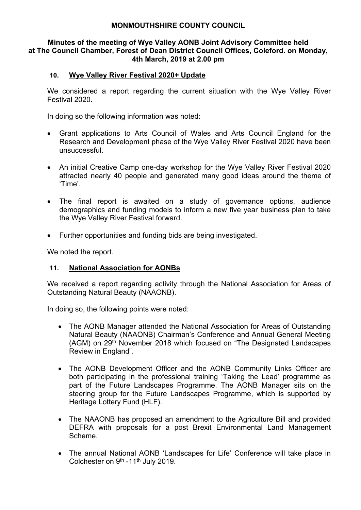#### **Minutes of the meeting of Wye Valley AONB Joint Advisory Committee held at The Council Chamber, Forest of Dean District Council Offices, Coleford. on Monday, 4th March, 2019 at 2.00 pm**

## **10. Wye Valley River Festival 2020+ Update**

We considered a report regarding the current situation with the Wye Valley River Festival 2020.

In doing so the following information was noted:

- Grant applications to Arts Council of Wales and Arts Council England for the Research and Development phase of the Wye Valley River Festival 2020 have been unsuccessful.
- An initial Creative Camp one-day workshop for the Wye Valley River Festival 2020 attracted nearly 40 people and generated many good ideas around the theme of 'Time'.
- The final report is awaited on a study of governance options, audience demographics and funding models to inform a new five year business plan to take the Wye Valley River Festival forward.
- Further opportunities and funding bids are being investigated.

We noted the report.

# **11. National Association for AONBs**

We received a report regarding activity through the National Association for Areas of Outstanding Natural Beauty (NAAONB).

In doing so, the following points were noted:

- The AONB Manager attended the National Association for Areas of Outstanding Natural Beauty (NAAONB) Chairman's Conference and Annual General Meeting (AGM) on 29th November 2018 which focused on "The Designated Landscapes Review in England".
- The AONB Development Officer and the AONB Community Links Officer are both participating in the professional training 'Taking the Lead' programme as part of the Future Landscapes Programme. The AONB Manager sits on the steering group for the Future Landscapes Programme, which is supported by Heritage Lottery Fund (HLF).
- The NAAONB has proposed an amendment to the Agriculture Bill and provided DEFRA with proposals for a post Brexit Environmental Land Management Scheme.
- The annual National AONB 'Landscapes for Life' Conference will take place in Colchester on 9<sup>th</sup> -11<sup>th</sup> July 2019.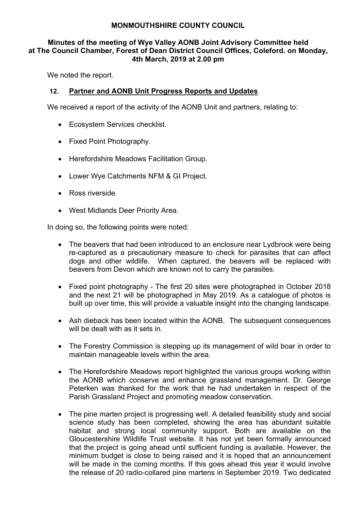## **Minutes of the meeting of Wye Valley AONB Joint Advisory Committee held at The Council Chamber, Forest of Dean District Council Offices, Coleford. on Monday, 4th March, 2019 at 2.00 pm**

We noted the report.

# **12. Partner and AONB Unit Progress Reports and Updates**

We received a report of the activity of the AONB Unit and partners, relating to:

- Ecosystem Services checklist.
- Fixed Point Photography.
- Herefordshire Meadows Facilitation Group.
- Lower Wye Catchments NFM & GI Project.
- Ross riverside.
- West Midlands Deer Priority Area.

In doing so, the following points were noted:

- The beavers that had been introduced to an enclosure near Lydbrook were being re-captured as a precautionary measure to check for parasites that can affect dogs and other wildlife. When captured, the beavers will be replaced with beavers from Devon which are known not to carry the parasites.
- Fixed point photography The first 20 sites were photographed in October 2018 and the next 21 will be photographed in May 2019. As a catalogue of photos is built up over time, this will provide a valuable insight into the changing landscape.
- Ash dieback has been located within the AONB. The subsequent consequences will be dealt with as it sets in.
- The Forestry Commission is stepping up its management of wild boar in order to maintain manageable levels within the area.
- The Herefordshire Meadows report highlighted the various groups working within the AONB which conserve and enhance grassland management. Dr. George Peterken was thanked for the work that he had undertaken in respect of the Parish Grassland Project and promoting meadow conservation.
- The pine marten project is progressing well. A detailed feasibility study and social science study has been completed, showing the area has abundant suitable habitat and strong local community support. Both are available on the Gloucestershire Wildlife Trust website. It has not yet been formally announced that the project is going ahead until sufficient funding is available. However, the minimum budget is close to being raised and it is hoped that an announcement will be made in the coming months. If this goes ahead this year it would involve the release of 20 radio-collared pine martens in September 2019. Two dedicated